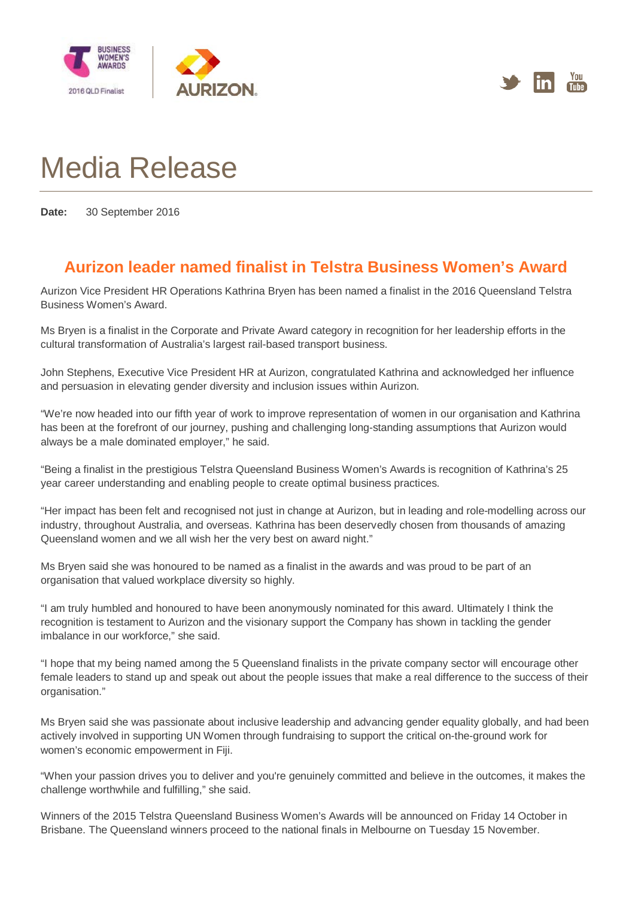



## Media Release

**Date:** 30 September 2016

## **Aurizon leader named finalist in Telstra Business Women's Award**

Aurizon Vice President HR Operations Kathrina Bryen has been named a finalist in the 2016 Queensland Telstra Business Women's Award.

Ms Bryen is a finalist in the Corporate and Private Award category in recognition for her leadership efforts in the cultural transformation of Australia's largest rail-based transport business.

John Stephens, Executive Vice President HR at Aurizon, congratulated Kathrina and acknowledged her influence and persuasion in elevating gender diversity and inclusion issues within Aurizon.

"We're now headed into our fifth year of work to improve representation of women in our organisation and Kathrina has been at the forefront of our journey, pushing and challenging long-standing assumptions that Aurizon would always be a male dominated employer," he said.

"Being a finalist in the prestigious Telstra Queensland Business Women's Awards is recognition of Kathrina's 25 year career understanding and enabling people to create optimal business practices.

"Her impact has been felt and recognised not just in change at Aurizon, but in leading and role-modelling across our industry, throughout Australia, and overseas. Kathrina has been deservedly chosen from thousands of amazing Queensland women and we all wish her the very best on award night."

Ms Bryen said she was honoured to be named as a finalist in the awards and was proud to be part of an organisation that valued workplace diversity so highly.

"I am truly humbled and honoured to have been anonymously nominated for this award. Ultimately I think the recognition is testament to Aurizon and the visionary support the Company has shown in tackling the gender imbalance in our workforce," she said.

"I hope that my being named among the 5 Queensland finalists in the private company sector will encourage other female leaders to stand up and speak out about the people issues that make a real difference to the success of their organisation."

Ms Bryen said she was passionate about inclusive leadership and advancing gender equality globally, and had been actively involved in supporting UN Women through fundraising to support the critical on-the-ground work for women's economic empowerment in Fiji.

"When your passion drives you to deliver and you're genuinely committed and believe in the outcomes, it makes the challenge worthwhile and fulfilling," she said.

Winners of the 2015 Telstra Queensland Business Women's Awards will be announced on Friday 14 October in Brisbane. The Queensland winners proceed to the national finals in Melbourne on Tuesday 15 November.